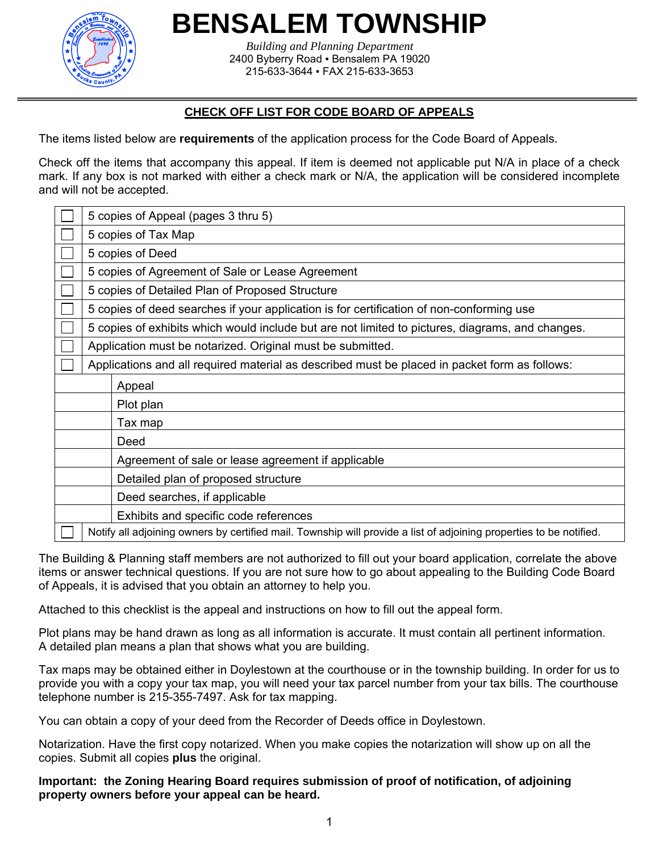

## **BENSALEM TOWNSHIP**

*Building and Planning Department*  2400 Byberry Road ▪ Bensalem PA 19020 215-633-3644 ▪ FAX 215-633-3653

### **CHECK OFF LIST FOR CODE BOARD OF APPEALS**

The items listed below are **requirements** of the application process for the Code Board of Appeals.

Check off the items that accompany this appeal. If item is deemed not applicable put N/A in place of a check mark. If any box is not marked with either a check mark or N/A, the application will be considered incomplete and will not be accepted.

|  | 5 copies of Appeal (pages 3 thru 5)                                                                                 |                                                    |  |  |  |
|--|---------------------------------------------------------------------------------------------------------------------|----------------------------------------------------|--|--|--|
|  | 5 copies of Tax Map                                                                                                 |                                                    |  |  |  |
|  | 5 copies of Deed                                                                                                    |                                                    |  |  |  |
|  | 5 copies of Agreement of Sale or Lease Agreement                                                                    |                                                    |  |  |  |
|  | 5 copies of Detailed Plan of Proposed Structure                                                                     |                                                    |  |  |  |
|  | 5 copies of deed searches if your application is for certification of non-conforming use                            |                                                    |  |  |  |
|  | 5 copies of exhibits which would include but are not limited to pictures, diagrams, and changes.                    |                                                    |  |  |  |
|  | Application must be notarized. Original must be submitted.                                                          |                                                    |  |  |  |
|  | Applications and all required material as described must be placed in packet form as follows:                       |                                                    |  |  |  |
|  |                                                                                                                     | Appeal                                             |  |  |  |
|  |                                                                                                                     | Plot plan                                          |  |  |  |
|  |                                                                                                                     | Tax map                                            |  |  |  |
|  |                                                                                                                     | Deed                                               |  |  |  |
|  |                                                                                                                     | Agreement of sale or lease agreement if applicable |  |  |  |
|  |                                                                                                                     | Detailed plan of proposed structure                |  |  |  |
|  |                                                                                                                     | Deed searches, if applicable                       |  |  |  |
|  |                                                                                                                     | Exhibits and specific code references              |  |  |  |
|  | Notify all adjoining owners by certified mail. Township will provide a list of adjoining properties to be notified. |                                                    |  |  |  |

The Building & Planning staff members are not authorized to fill out your board application, correlate the above items or answer technical questions. If you are not sure how to go about appealing to the Building Code Board of Appeals, it is advised that you obtain an attorney to help you.

Attached to this checklist is the appeal and instructions on how to fill out the appeal form.

Plot plans may be hand drawn as long as all information is accurate. It must contain all pertinent information. A detailed plan means a plan that shows what you are building.

Tax maps may be obtained either in Doylestown at the courthouse or in the township building. In order for us to provide you with a copy your tax map, you will need your tax parcel number from your tax bills. The courthouse telephone number is 215-355-7497. Ask for tax mapping.

You can obtain a copy of your deed from the Recorder of Deeds office in Doylestown.

Notarization. Have the first copy notarized. When you make copies the notarization will show up on all the copies. Submit all copies **plus** the original.

#### **Important: the Zoning Hearing Board requires submission of proof of notification, of adjoining property owners before your appeal can be heard.**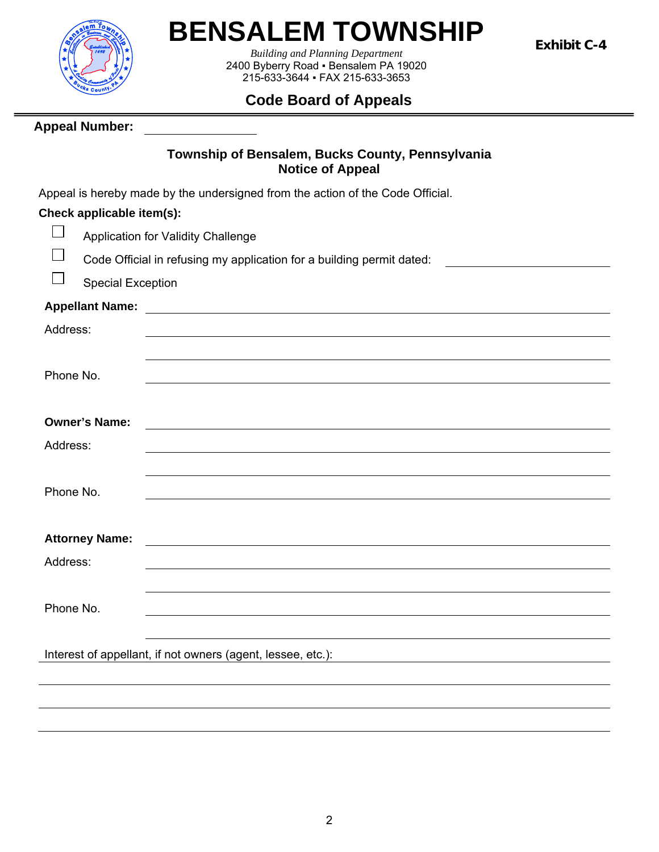

# **BENSALEM TOWNSHIP**

*Building and Planning Department*  2400 Byberry Road ▪ Bensalem PA 19020 215-633-3644 ▪ FAX 215-633-3653

## **Code Board of Appeals**

**Appeal Number:** 

### **Township of Bensalem, Bucks County, Pennsylvania Notice of Appeal**

Appeal is hereby made by the undersigned from the action of the Code Official.

## **Check applicable item(s):**

|                          | rieck applicable item(s).                                                                                                                    |
|--------------------------|----------------------------------------------------------------------------------------------------------------------------------------------|
| $\overline{\phantom{a}}$ | Application for Validity Challenge                                                                                                           |
| $\frac{1}{2}$            | Code Official in refusing my application for a building permit dated:                                                                        |
|                          | <b>Special Exception</b>                                                                                                                     |
|                          |                                                                                                                                              |
| Address:                 |                                                                                                                                              |
|                          |                                                                                                                                              |
| Phone No.                |                                                                                                                                              |
|                          |                                                                                                                                              |
|                          | <b>Owner's Name:</b><br><u> 1989 - Andrea State Barbara, amerikan personal di sebagai personal di sebagai personal di sebagai personal d</u> |
| Address:                 |                                                                                                                                              |
|                          |                                                                                                                                              |
| Phone No.                |                                                                                                                                              |
|                          |                                                                                                                                              |
|                          | <b>Attorney Name:</b><br><u> 1989 - Andrea Albert III, politik eta politik eta politik eta politik eta politik eta politik eta politik e</u> |
| Address:                 |                                                                                                                                              |
|                          |                                                                                                                                              |
| Phone No.                |                                                                                                                                              |
|                          |                                                                                                                                              |
|                          | Interest of appellant, if not owners (agent, lessee, etc.):                                                                                  |
|                          |                                                                                                                                              |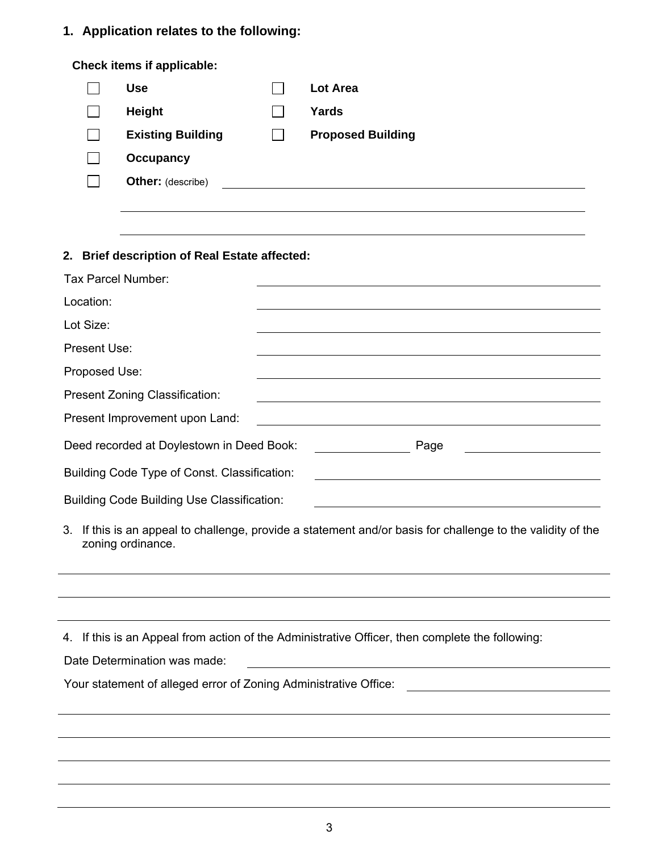## **1. Application relates to the following:**

|                                                                                                                                                                      | Check items if applicable:                        |  |                                                                                                                  |  |  |  |  |  |
|----------------------------------------------------------------------------------------------------------------------------------------------------------------------|---------------------------------------------------|--|------------------------------------------------------------------------------------------------------------------|--|--|--|--|--|
|                                                                                                                                                                      | <b>Use</b>                                        |  | <b>Lot Area</b>                                                                                                  |  |  |  |  |  |
|                                                                                                                                                                      | <b>Height</b>                                     |  | Yards                                                                                                            |  |  |  |  |  |
|                                                                                                                                                                      | <b>Existing Building</b>                          |  | <b>Proposed Building</b>                                                                                         |  |  |  |  |  |
|                                                                                                                                                                      | <b>Occupancy</b>                                  |  |                                                                                                                  |  |  |  |  |  |
|                                                                                                                                                                      | <b>Other:</b> (describe)                          |  |                                                                                                                  |  |  |  |  |  |
|                                                                                                                                                                      |                                                   |  |                                                                                                                  |  |  |  |  |  |
|                                                                                                                                                                      |                                                   |  |                                                                                                                  |  |  |  |  |  |
| 2. Brief description of Real Estate affected:                                                                                                                        |                                                   |  |                                                                                                                  |  |  |  |  |  |
| Tax Parcel Number:                                                                                                                                                   |                                                   |  |                                                                                                                  |  |  |  |  |  |
| Location:                                                                                                                                                            |                                                   |  |                                                                                                                  |  |  |  |  |  |
| Lot Size:                                                                                                                                                            |                                                   |  |                                                                                                                  |  |  |  |  |  |
| Present Use:                                                                                                                                                         |                                                   |  |                                                                                                                  |  |  |  |  |  |
| Proposed Use:                                                                                                                                                        |                                                   |  | and the control of the control of the control of the control of the control of the control of the control of the |  |  |  |  |  |
|                                                                                                                                                                      | Present Zoning Classification:                    |  | and the control of the control of the control of the control of the control of the control of the control of the |  |  |  |  |  |
| Present Improvement upon Land:                                                                                                                                       |                                                   |  |                                                                                                                  |  |  |  |  |  |
| Deed recorded at Doylestown in Deed Book:<br>Page                                                                                                                    |                                                   |  |                                                                                                                  |  |  |  |  |  |
| Building Code Type of Const. Classification:<br><u> 1980 - Johann Barn, mars ann an t-Amhain Aonaich an t-Aonaich an t-Aonaich ann an t-Aonaich ann an t-Aonaich</u> |                                                   |  |                                                                                                                  |  |  |  |  |  |
|                                                                                                                                                                      | <b>Building Code Building Use Classification:</b> |  |                                                                                                                  |  |  |  |  |  |
| 3. If this is an appeal to challenge, provide a statement and/or basis for challenge to the validity of the<br>zoning ordinance.                                     |                                                   |  |                                                                                                                  |  |  |  |  |  |
|                                                                                                                                                                      |                                                   |  |                                                                                                                  |  |  |  |  |  |
|                                                                                                                                                                      |                                                   |  |                                                                                                                  |  |  |  |  |  |
|                                                                                                                                                                      |                                                   |  | 4. If this is an Appeal from action of the Administrative Officer, then complete the following:                  |  |  |  |  |  |
| Date Determination was made:                                                                                                                                         |                                                   |  |                                                                                                                  |  |  |  |  |  |
| Your statement of alleged error of Zoning Administrative Office:                                                                                                     |                                                   |  |                                                                                                                  |  |  |  |  |  |
|                                                                                                                                                                      |                                                   |  |                                                                                                                  |  |  |  |  |  |